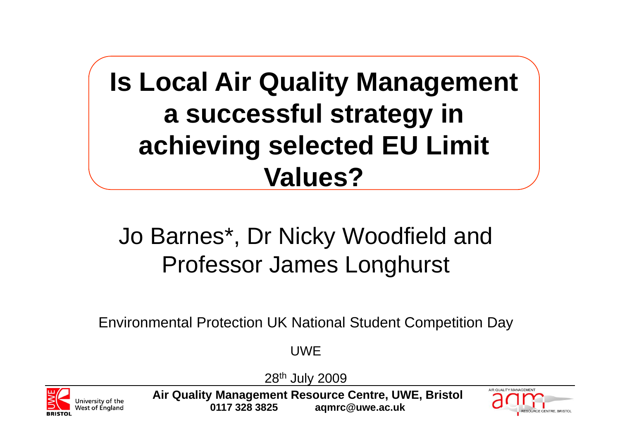#### **Is Local Air Quality Management <sup>a</sup> successful strategy in achieving selected EU Limit Values?**

#### Jo Barnes\*, Dr Nicky Woodfield and Professor James Longhurst

Environmental Protection UK National Student Competition Day

**UWF** 

28th July 2009



**Air Quality Management Resource Centre, UWE, Bristol 0117 328 3825 aqmrc@uwe.ac.uk**

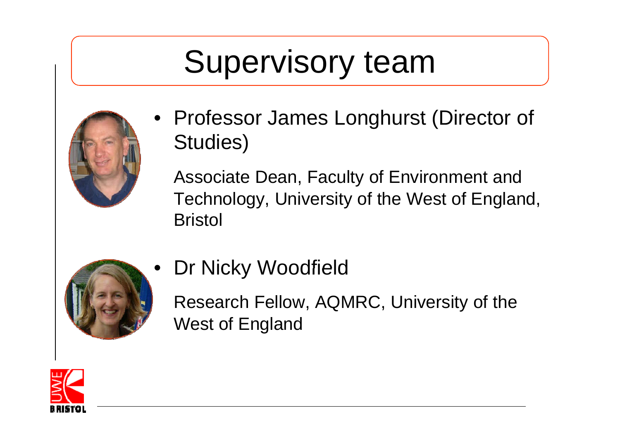#### Supervisory team



• Professor James Longhurst (Director of Studies)

Associate Dean, Faculty of Environment and Technology, University of the West of England, **Bristol** 



Dr Nicky Woodfield

Research Fellow, AQMRC, University of the West of England

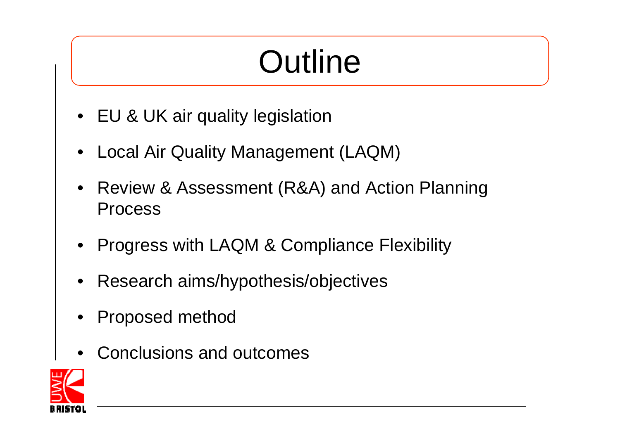## **Outline**

- $\bullet$  EU & UK air quality legislation
- •Local Air Quality Management (LAQM)
- $\bullet$  Review & Assessment (R&A) and Action Planning Process
- •Progress with LAQM & Compliance Flexibility
- •Research aims/hypothesis/objectives
- •Proposed method
- •Conclusions and outcomes

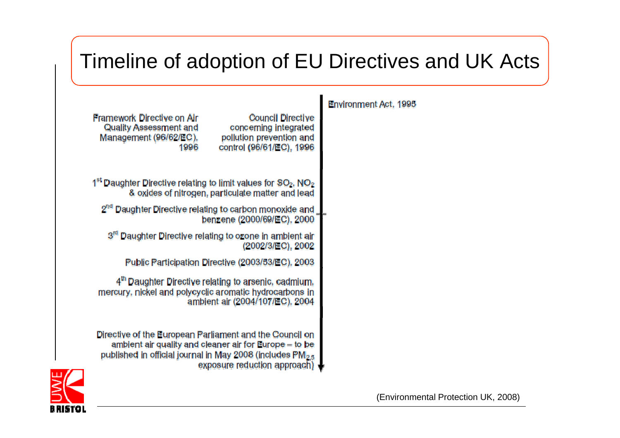#### Timeline of adoption of EU Directives and UK Acts

| Framework Directive on Air<br>Quality Assessment and<br>Management (96/62/EC),<br>1996                                                                                                     | <b>Council Directive</b><br>concerning integrated<br>pollution prevention and<br>control (96/61/EC), 1996 | Envi |
|--------------------------------------------------------------------------------------------------------------------------------------------------------------------------------------------|-----------------------------------------------------------------------------------------------------------|------|
| 1 <sup>st</sup> Daughter Directive relating to limit values for SO <sub>2</sub> , NO <sub>2</sub>                                                                                          | & oxides of nitrogen, particulate matter and lead                                                         |      |
| 2 <sup>nd</sup> Daughter Directive relating to carbon monoxide and                                                                                                                         | benzene (2000/69/EC), 2000                                                                                |      |
| Daughter Directive relating to ozone in ambient air<br>3 <sup>rd</sup>                                                                                                                     | (2002/3/EC), 2002                                                                                         |      |
| Public Participation Directive (2003/53/EC), 2003                                                                                                                                          |                                                                                                           |      |
| 4 <sup>th</sup> Daughter Directive relating to arsenic, cadmium,<br>mercury, nickel and polycyclic aromatic hydrocarbons in                                                                | ambient air (2004/107/EC), 2004                                                                           |      |
| Directive of the European Parliament and the Council on<br>ambient air quality and cleaner air for Europe – to be<br>published in official journal in May 2008 (includes PM <sub>2.5</sub> | exposure reduction approach)                                                                              |      |

 $\mathbf{L}$ ironment Act, 1995

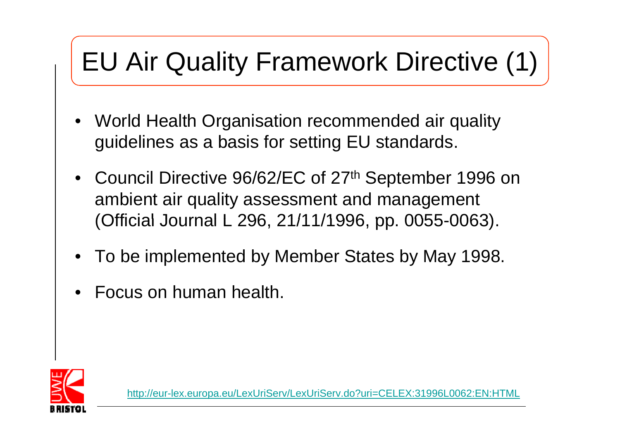#### EU Air Quality Framework Directive (1)

- • World Health Organisation recommended air quality guidelines as a basis for setting EU standards.
- Council Directive 96/62/EC of 27<sup>th</sup> September 1996 on ambient air quality assessment and management (Official Journal L 296, 21/11/1996, pp. 0055-0063).
- •To be implemented by Member States by May 1998.
- •Focus on human health.



http://eur-lex.europa.eu/LexUriServ/LexUriServ.do?uri=CELEX:31996L0062:EN:HTML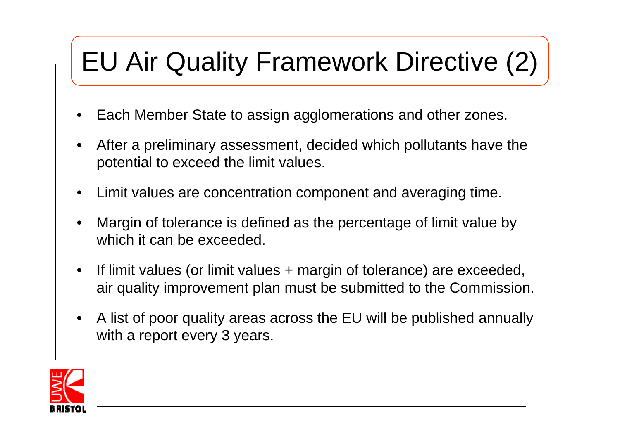#### EU Air Quality Framework Directive (2)

- •Each Member State to assign agglomerations and other zones.
- $\bullet$  After a preliminary assessment, decided which pollutants have the potential to exceed the limit values.
- $\bullet$ Limit values are concentration component and averaging time.
- •• Margin of tolerance is defined as the percentage of limit value by which it can be exceeded.
- •• If limit values (or limit values + margin of tolerance) are exceeded, air quality improvement plan must be submitted to the Commission.
- $\bullet$  A list of poor quality areas across the EU will be published annually with a report every 3 years.

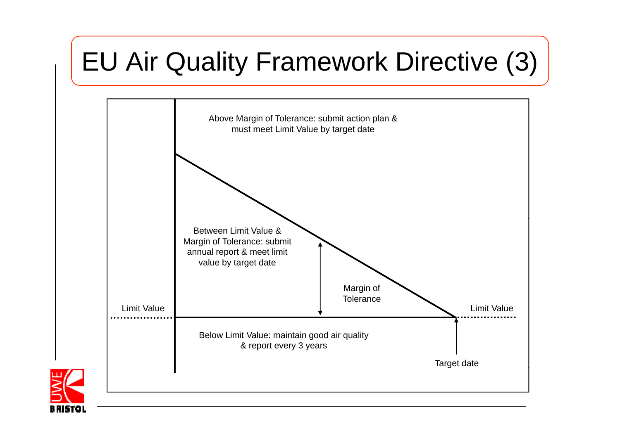#### EU Air Quality Framework Directive (3)



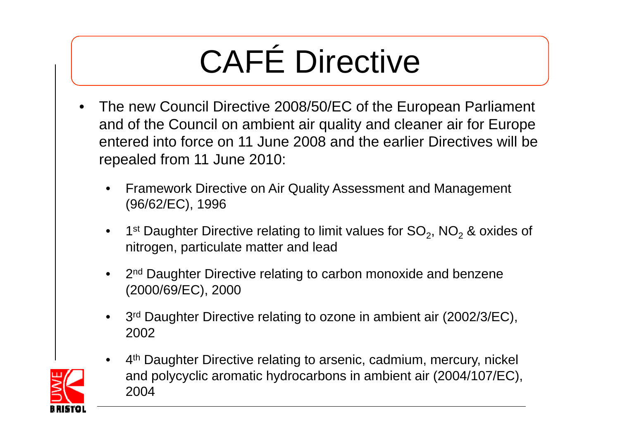# CAFÉ Directive

- $\bullet$  The new Council Directive 2008/50/EC of the European Parliament and of the Council on ambient air quality and cleaner air for Europe entered into force on 11 June 2008 and the earlier Directives will be repealed from 11 June 2010:
	- • Framework Directive on Air Quality Assessment and Management (96/62/EC), 1996
	- 1st Daughter Directive relating to limit values for SO<sub>2</sub>, NO<sub>2</sub> & oxides of nitrogen, particulate matter and lead
	- 2<sup>nd</sup> Daughter Directive relating to carbon monoxide and benzene (2000/69/EC), 2000
	- •3<sup>rd</sup> Daughter Directive relating to ozone in ambient air (2002/3/EC), 2002



•4<sup>th</sup> Daughter Directive relating to arsenic, cadmium, mercury, nickel and polycyclic aromatic hydrocarbons in ambient air (2004/107/EC), 2004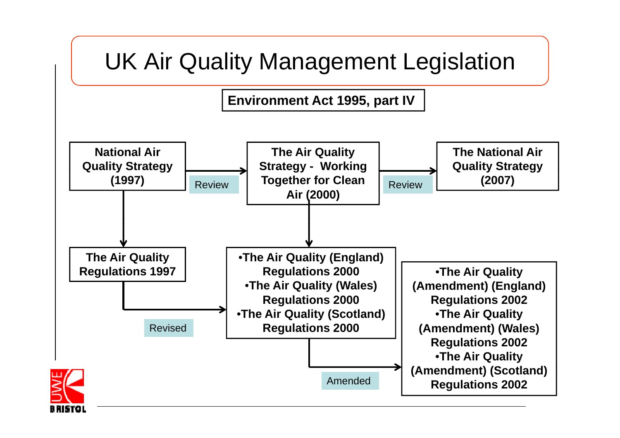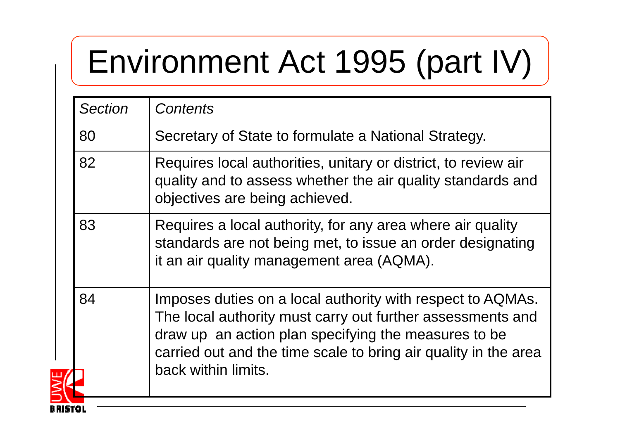## Environment Act 1995 (part IV)

| <b>Section</b> | <b>Contents</b>                                                                                                                                                                                                                                                            |  |  |  |  |
|----------------|----------------------------------------------------------------------------------------------------------------------------------------------------------------------------------------------------------------------------------------------------------------------------|--|--|--|--|
| 80             | Secretary of State to formulate a National Strategy.                                                                                                                                                                                                                       |  |  |  |  |
| 82             | Requires local authorities, unitary or district, to review air<br>quality and to assess whether the air quality standards and<br>objectives are being achieved.                                                                                                            |  |  |  |  |
| 83             | Requires a local authority, for any area where air quality<br>standards are not being met, to issue an order designating<br>it an air quality management area (AQMA).                                                                                                      |  |  |  |  |
| 84             | Imposes duties on a local authority with respect to AQMAs.<br>The local authority must carry out further assessments and<br>draw up an action plan specifying the measures to be<br>carried out and the time scale to bring air quality in the area<br>back within limits. |  |  |  |  |
|                |                                                                                                                                                                                                                                                                            |  |  |  |  |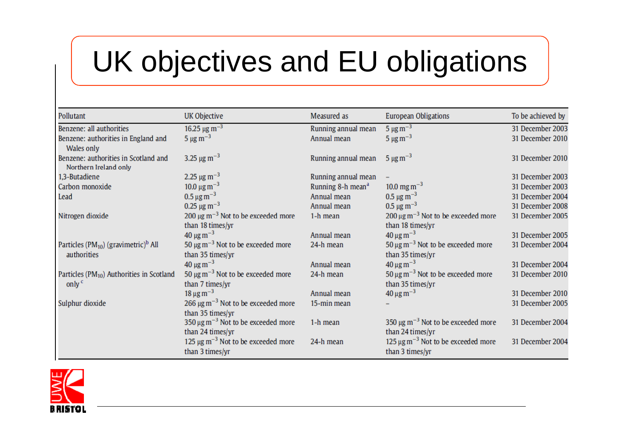#### UK objectives and EU obligations

| Pollutant                                                     | UK Objective                                                           | Measured as                   | <b>European Obligations</b>                                                                  | To be achieved by |
|---------------------------------------------------------------|------------------------------------------------------------------------|-------------------------------|----------------------------------------------------------------------------------------------|-------------------|
| Benzene: all authorities                                      | 16.25 $\mu$ g m <sup>-3</sup>                                          | Running annual mean           | $5 \mu g m^{-3}$                                                                             | 31 December 2003  |
| Benzene: authorities in England and<br>Wales only             | $5 \mu g \, \text{m}^{-3}$                                             | Annual mean                   | $5 \mu g m^{-3}$                                                                             | 31 December 2010  |
| Benzene: authorities in Scotland and<br>Northern Ireland only | 3.25 $\mu$ g m <sup>-3</sup>                                           | Running annual mean           | $5 \mu g m^{-3}$                                                                             | 31 December 2010  |
| 1,3-Butadiene                                                 | 2.25 $\mu$ g m <sup>-3</sup>                                           | Running annual mean           |                                                                                              | 31 December 2003  |
| Carbon monoxide                                               | 10.0 $\mu$ g m <sup>-3</sup>                                           | Running 8-h mean <sup>a</sup> | $10.0 \,\mathrm{mg\,m^{-3}}$                                                                 | 31 December 2003  |
| Lead                                                          | $0.5 \,\mathrm{\mu g\,m}^{-3}$                                         | Annual mean                   | $0.5 \,\mathrm{\mu g\,m}^{-3}$                                                               | 31 December 2004  |
|                                                               | $0.25 \,\mathrm{\mu g\,m^{-3}}$                                        | Annual mean                   | $0.5 \,\mathrm{\mu g\,m^{-3}}$                                                               | 31 December 2008  |
| Nitrogen dioxide                                              | 200 $\mu$ g m <sup>-3</sup> Not to be exceeded more                    | 1-h mean                      | $200 \,\mathrm{\upmu}\mathrm{g}\,\mathrm{m}^{-3}$ Not to be exceeded more                    | 31 December 2005  |
|                                                               | than 18 times/yr                                                       |                               | than 18 times/yr                                                                             |                   |
|                                                               | $40 \mu g m^{-3}$                                                      | Annual mean                   | $40 \,\mathrm{\mu g\,m}^{-3}$                                                                | 31 December 2005  |
| Particles ( $PM_{10}$ ) (gravimetric) <sup>b</sup> All        | 50 $\mu$ g m <sup>-3</sup> Not to be exceeded more                     | 24-h mean                     | 50 $\mu$ g m <sup>-3</sup> Not to be exceeded more                                           | 31 December 2004  |
| authorities                                                   | than 35 times/yr                                                       |                               | than 35 times/yr                                                                             |                   |
|                                                               | $40 \mu g m^{-3}$                                                      | Annual mean                   | $40 \,\mathrm{µg\,m}^{-3}$                                                                   | 31 December 2004  |
| Particles (PM <sub>10</sub> ) Authorities in Scotland         | 50 $\mu$ g m <sup>-3</sup> Not to be exceeded more                     | 24-h mean                     | $50 \,\mathrm{\upmu}\mathrm{g}\,\mathrm{m}^{-3}$ Not to be exceeded more                     | 31 December 2010  |
| only $c$                                                      | than 7 times/yr                                                        |                               | than 35 times/yr                                                                             |                   |
|                                                               | $18 \,\mathrm{\mu g\,m^{-3}}$                                          | Annual mean                   | $40 \,\mathrm{\mu g\,m^{-3}}$                                                                | 31 December 2010  |
| Sulphur dioxide                                               | 266 $\mu$ g m <sup>-3</sup> Not to be exceeded more                    | 15-min mean                   |                                                                                              | 31 December 2005  |
|                                                               | than 35 times/yr                                                       |                               |                                                                                              |                   |
|                                                               | 350 $\mu$ g m <sup>-3</sup> Not to be exceeded more                    | 1-h mean                      | 350 $\mu$ g m <sup>-3</sup> Not to be exceeded more                                          | 31 December 2004  |
|                                                               | than 24 times/yr                                                       |                               | than 24 times/yr                                                                             |                   |
|                                                               | 125 $\mu$ g m <sup>-3</sup> Not to be exceeded more<br>than 3 times/yr | 24-h mean                     | $125 \,\mathrm{\upmu}\mathrm{g}\,\mathrm{m}^{-3}$ Not to be exceeded more<br>than 3 times/yr | 31 December 2004  |

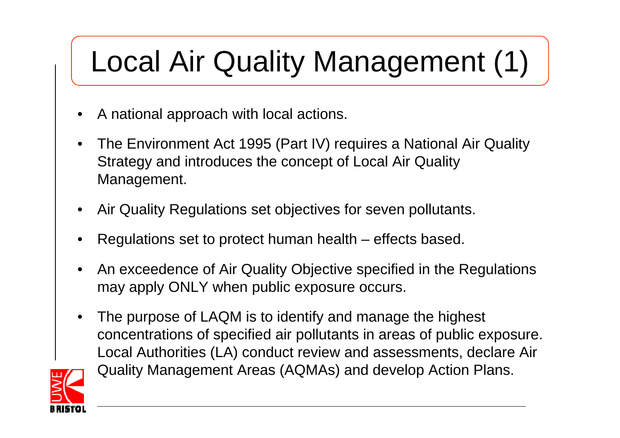#### Local Air Quality Management (1)

- •A national approach with local actions.
- $\bullet$  The Environment Act 1995 (Part IV) requires a National Air Quality Strategy and introduces the conce pt of Local Air Qualit y Management.
- $\bullet$ Air Quality Regulations set objectives for seven pollutants.
- •Regulations set to protect human health – effects based.
- •An exceedence of Air Quality Objective specified in the Regulations may apply ONLY when public exposure occurs.
- • The purpose of LAQM is to identify and manage the highest concentrations of specified air pollutants in areas of public exposure. Local Authorities (LA) conduct review and assessments, declare Air Quality Management Areas (AQMAs) and develop Action Plans.

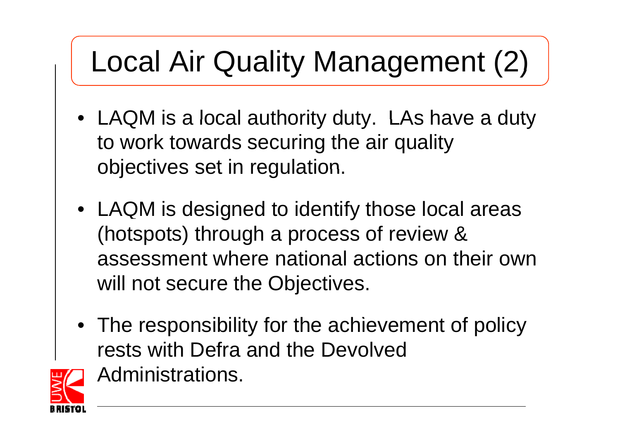#### Local Air Quality Management (2)

- LAQM is a local authority duty. LAs have a duty to work towards securing the air quality objectives set in regulation.
- LAQM is designed to identify those local areas (hotspots) through a process of review & assessment where national actions on their own will not secure the Objectives.
- The responsibility for the achievement of policy rests with Defra and the Devolved



Administrations.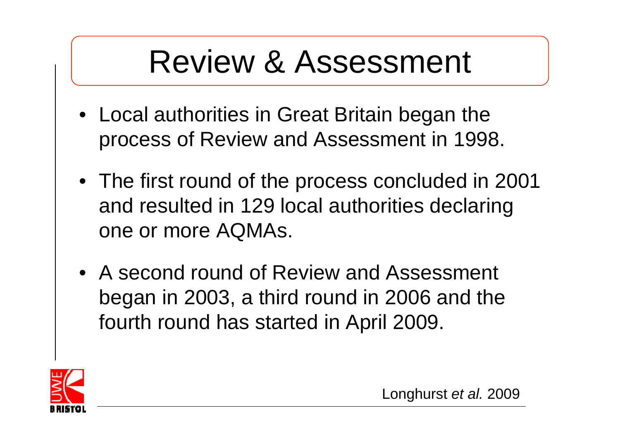#### Review & Assessment

- Local authorities in Great Britain began the process of Review and Assessment in 1998.
- The first round of the process concluded in 2001 and resulted in 129 local authorities declaring one or more AQMAs.
- A second round of Review and Assessment began in 2003, a third round in 2006 and the fourth round has started in April 2009.

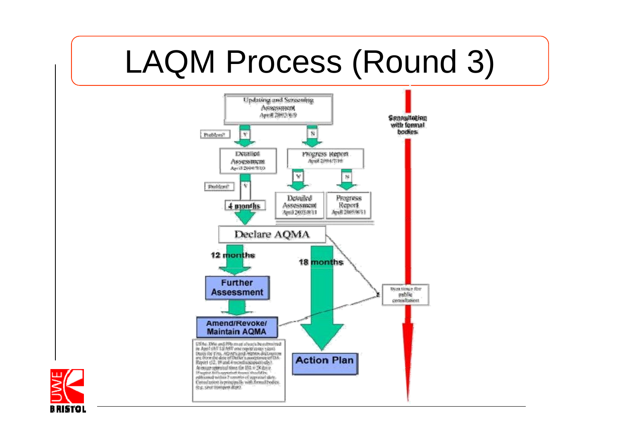#### LAQM Process (Round 3)



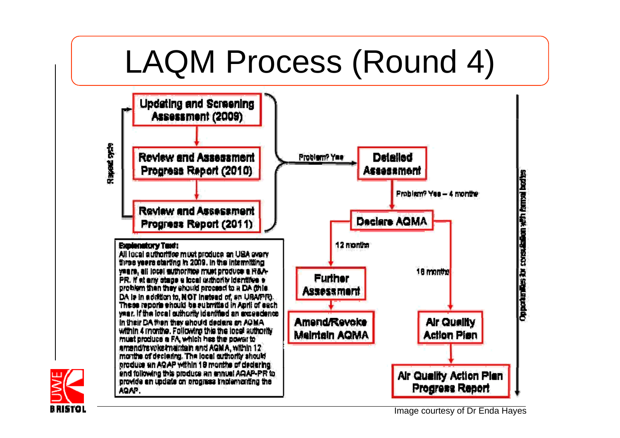#### LAQM Process (Round 4)



Image courtesy of Dr Enda Hayes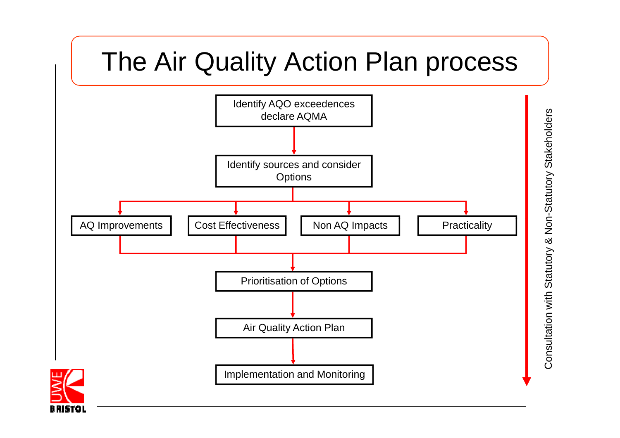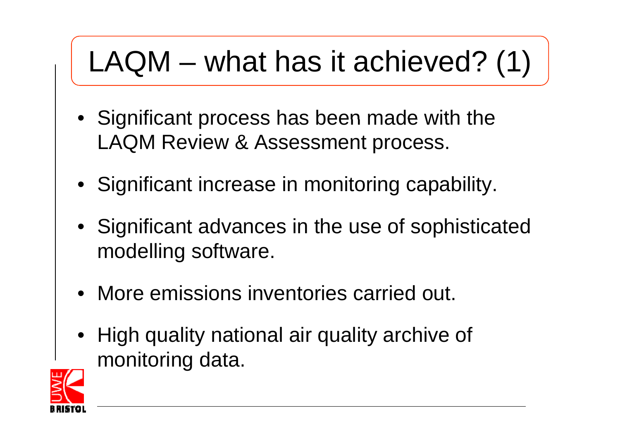#### $LAQM - what has it achieved? (1)$

- Significant process has been made with the LAQM Review & Assessment process.
- Significant increase in monitoring capability.
- Significant advances in the use of sophisticated modelling software.
- More emissions inventories carried out.
- High quality national air quality archive of monitoring data.

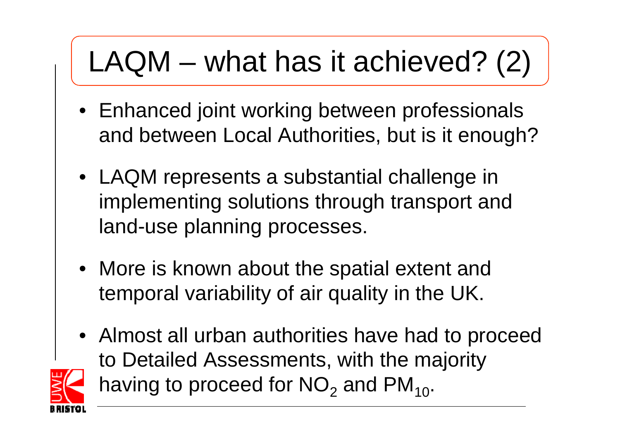#### $LAQM - what has it achieved? (2)$

- Enhanced joint working between professionals and between Local Authorities, but is it enough?
- LAQM represents a substantial challenge in implementing solutions through transport and land-use planning processes.
- More is known about the spatial extent and temporal variability of air quality in the UK.
- Almost all urban authorities have had to proceed to Detailed Assessments, with the majority having to proceed for  $\mathsf{NO}_2$  and  $\mathsf{PM}_{10}.$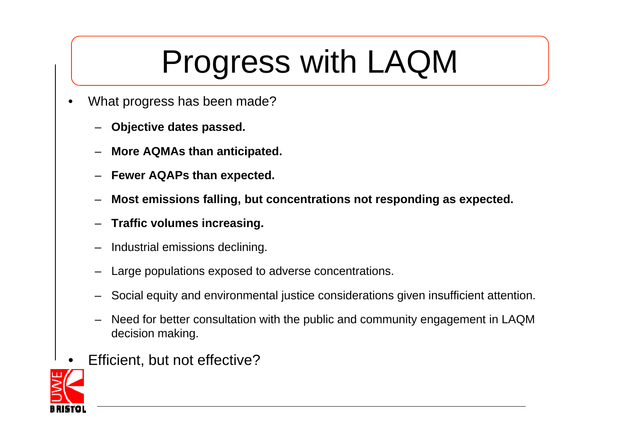### Progress with LAQM

- • What progress has been made?
	- –**Objective dates passed.**
	- –**More AQMAs than anticipated.**
	- –**Fewer AQAPs than expected.**
	- –**Most emissions falling, but concentrations not responding as expected.**
	- –**Traffic volumes increasing.**
	- –Industrial emissions declining.
	- –- Large populations exposed to adverse concentrations.
	- –Social equity and environmental justice considerations given insufficient attention.
	- – Need for better consultation with the public and community engagement in LAQM decision making.
- •Efficient, but not effective?

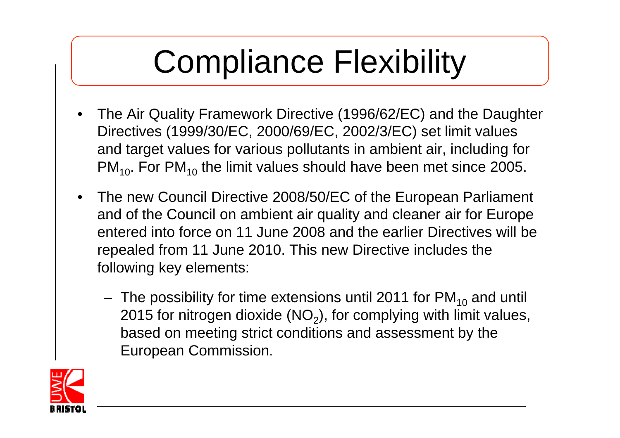## Compliance Flexibility

- $\bullet$ The Air Quality Framework Directive (1996/62/EC) and the Daughter Directives (1999/30/EC, 2000/69/EC, 2002/3/EC) set limit values and target values for various pollutants in ambient air, including for PM<sub>10</sub>. For PM<sub>10</sub> the limit values should have been met since 2005.
- The new Council Directive 2008/50/EC of the European Parliament and of the Council on ambient air quality and cleaner air for Europe entered into force on 11 June 2008 and the earlier Directives will be repealed from 11 June 2010. This new Directive includes the following key elements:
	- The possibility for time extensions until 2011 for  $\textsf{PM}_{\mathbf{10}}$  and until 2015 for nitrogen dioxide (NO<sub>2</sub>), for complying with limit values, based on meeting strict conditions and assessment by the European Commission.

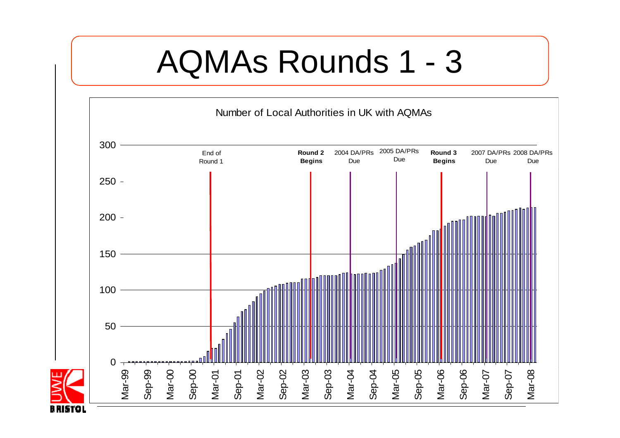#### AQMAs Rounds 1 3

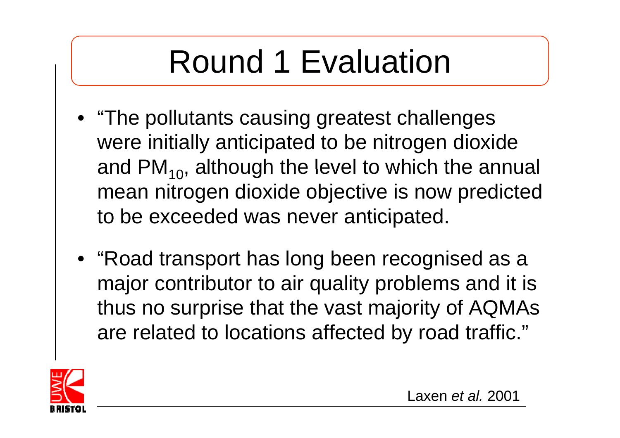## Round 1 Evaluation

- "The pollutants causing greatest challenges were initially anticipated to be nitrogen dioxide and PM $_{\rm 10}$ , although the level to which the annual mean nitrogen dioxide objective is now predicted to be exceeded was never anticipated.
- "Road transport has long been recognised as a major contributor to air quality problems and it is thus no surprise that the vast majority of AQMAs are related to locations affected by road traffic."

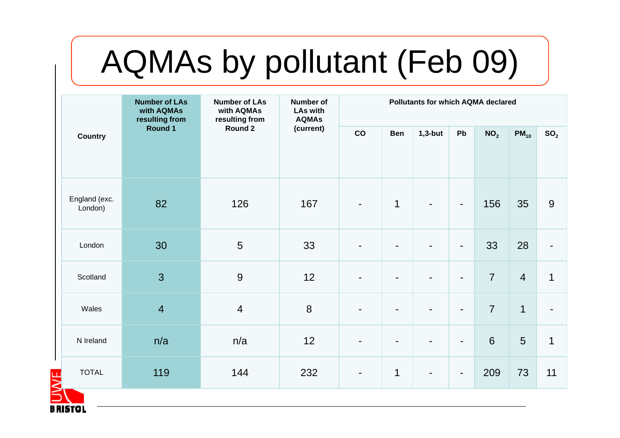## AQMAs by pollutant (Feb 09)

| <b>Number of LAs</b><br><b>Number of LAs</b><br>with AQMAs<br>with AQMAs<br>resulting from<br>resulting from<br>Round 1<br>Round 2<br><b>Country</b> |                |                | <b>Number of</b><br><b>LAs with</b><br><b>AQMAs</b> | <b>Pollutants for which AQMA declared</b> |                |                 |                |                 |                |                |
|------------------------------------------------------------------------------------------------------------------------------------------------------|----------------|----------------|-----------------------------------------------------|-------------------------------------------|----------------|-----------------|----------------|-----------------|----------------|----------------|
|                                                                                                                                                      | (current)      | CO             | <b>Ben</b>                                          | $1,3$ -but                                | Pb             | NO <sub>2</sub> | $PM_{10}$      | SO <sub>2</sub> |                |                |
| England (exc.<br>London)                                                                                                                             | 82             | 126            | 167                                                 | $\blacksquare$                            | $\mathbf 1$    |                 | $\blacksquare$ | 156             | 35             | 9              |
| London                                                                                                                                               | 30             | 5              | 33                                                  | $\blacksquare$                            | $\blacksquare$ |                 | $\blacksquare$ | 33              | 28             | $\blacksquare$ |
| Scotland                                                                                                                                             | $\overline{3}$ | 9              | 12                                                  | $\blacksquare$                            |                |                 | $\blacksquare$ | $\overline{7}$  | $\overline{4}$ | $\mathbf{1}$   |
| Wales                                                                                                                                                | $\overline{4}$ | $\overline{4}$ | 8                                                   | $\blacksquare$                            | $\blacksquare$ |                 | $\blacksquare$ | $\overline{7}$  | $\mathbf 1$    | ÷              |
| N Ireland                                                                                                                                            | n/a            | n/a            | 12                                                  | $\blacksquare$                            | $\blacksquare$ |                 | $\blacksquare$ | $6\phantom{1}$  | 5              | $\mathbf{1}$   |
| <b>TOTAL</b>                                                                                                                                         | 119            | 144            | 232                                                 | $\blacksquare$                            | $\mathbf 1$    | $\blacksquare$  | $\blacksquare$ | 209             | 73             | 11             |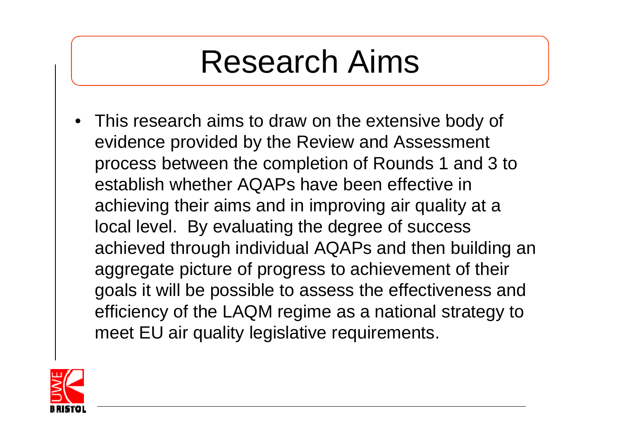#### Research Aims

• This research aims to draw on the extensive body of evidence provided by the Review and Assessment process between the completion of Rounds 1 and 3 to establish whether AQAPs have been effective in achieving their aims and in improving air quality at a local level. By evaluating the degree of success achieved through individual AQAPs and then building an aggregate picture of progress to achievement of their goals it will be possible to assess the effectiveness and efficiency of the LAQM regime as a national strategy to meet EU air quality legislative requirements.

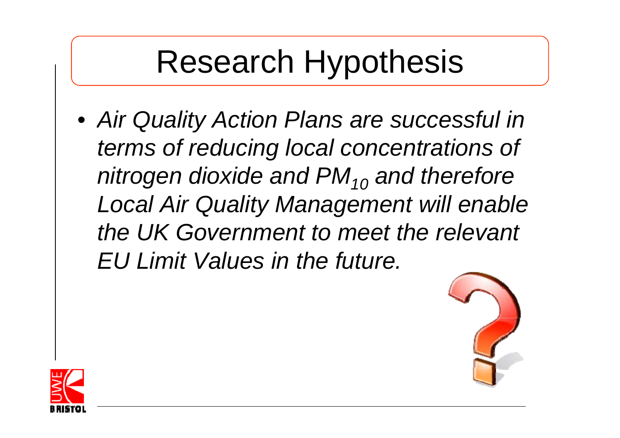#### Research Hypothesis

• *Air Quality Action Plans are successful in in terms of reducing local concentrations of nitrogen dioxide and PM<sub>10</sub> and therefore Local Air Quality Management will enable the UK Government to meet the relevant EU Limit Values in the future.*



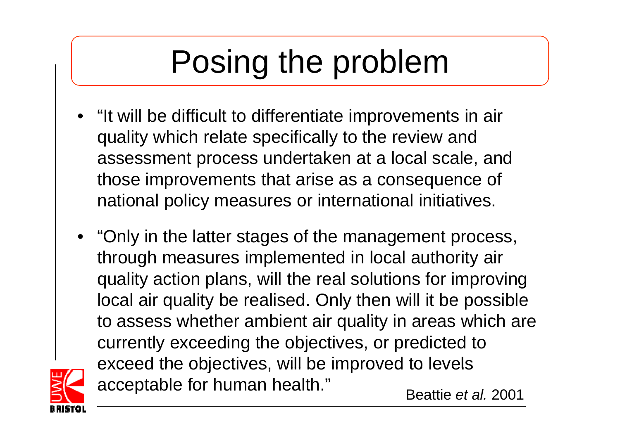## Posing the problem

- "It will be difficult to differentiate improvements in air quality which relate specifically to the review and assessment process undertaken at a local scale, and those improvements that arise as a consequence of national policy measures or international initiatives.
- "Only in the latter stages of the management process, through measures implemented in local authority air quality action plans, will the real solutions for improving local air quality be realised. Only then will it be possible to assess whether ambient air quality in areas which are currently exceeding the objectives, or predicted to exceed the objectives, will be improved to levels acceptable for human health." Beattie *et al.* <sup>2001</sup>

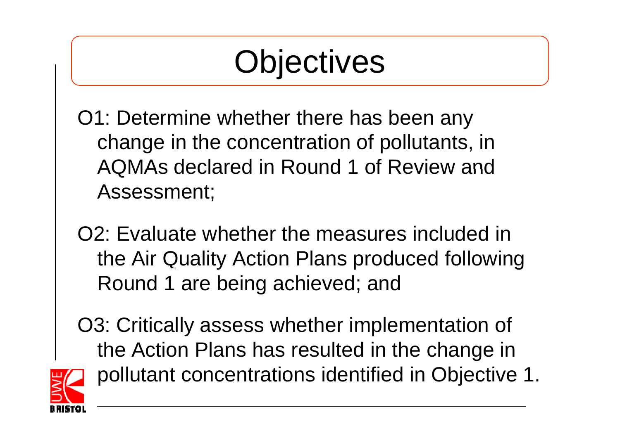#### **Objectives**

- O1: Determine whether there has been any change in the concentration of pollutants, in AQMAs declared in Round 1 of Review and Assessment;
- O2: Evaluate whether the measures included in the Air Quality Action Plans produced following Round 1 are being achieved; and
- O3: Critically assess whether implementation of the Action Plans has resulted in the change in pollutant concentrations identified in Objective 1.

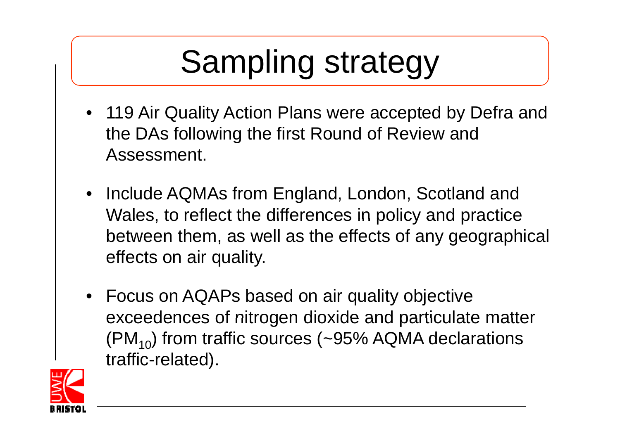## Sampling strategy

- 119 Air Quality Action Plans were accepted by Defra and the DAs following the first Round of Review and Assessment.
- Include AQMAs from England, London, Scotland and Wales, to reflect the differences in policy and practice between them, as well as the effects of any geographical effects on air quality.
- Focus on AQAPs based on air quality objective exceedences of nitrogen dioxide and particulate matter  $(PM_{10})$  from traffic sources (~95% AQMA declarations traffic-related ).

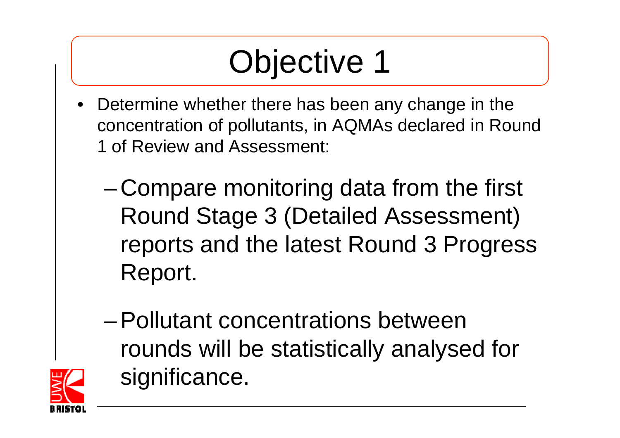## Objective 1

- $\bullet$  Determine whether there has been any change in the concentration of pollutants, in AQMAs declared in Round 1 of Review and Assessment:
	- – Compare monitoring data from the first Round Stage 3 (Detailed Assessment) reports and the latest Round 3 Progress Report.
	- Pollutant concentrations between rounds will be statistically analysed for significance.

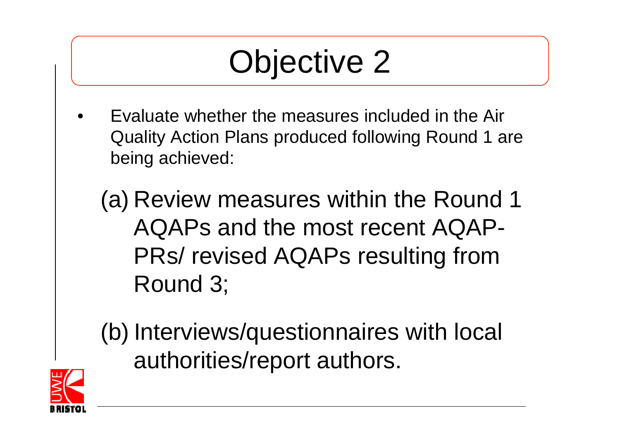#### Objective 2

•Evaluate whether the measures included in the Air Quality Action Plans produced following Round 1 are being achieved:

(a) Review measures within the Round 1 AQAPs and the most recent AQAP-PRs/ revised AQAPs resulting from Round 3;

(b) Interviews/questionnaires with local authorities/report authors.

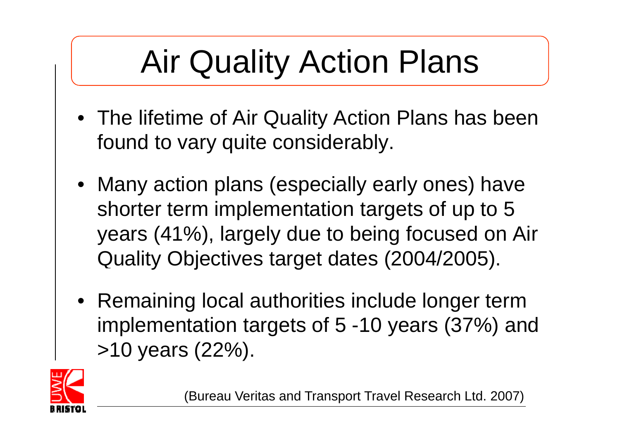## Air Quality Action Plans

- The lifetime of Air Quality Action Plans has been found to vary quite considerably.
- Many action plans (especially early ones) have shorter term implementation targets of up to 5 years (41%), largely due to being focused on Air Quality Objectives target dates (2004/2005).
- Remaining local authorities include longer term implementation targets of 5 -10 years (37%) and >10 years (22%).



(Bureau Veritas and Transport Travel Research Ltd. 2007)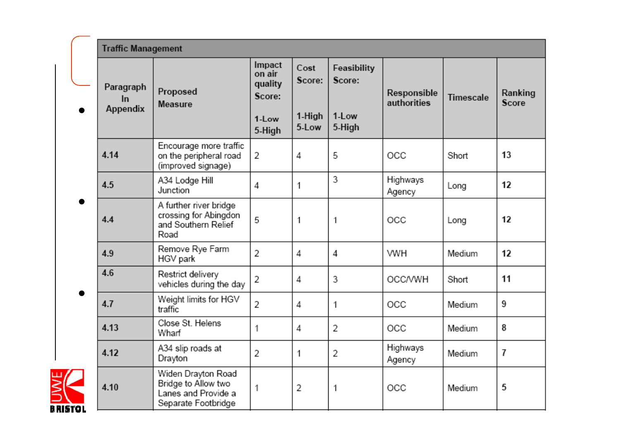|           | <b>Traffic Management</b>          |                                                                                         |                                                          |                                   |                                          |                            |           |                  |
|-----------|------------------------------------|-----------------------------------------------------------------------------------------|----------------------------------------------------------|-----------------------------------|------------------------------------------|----------------------------|-----------|------------------|
|           | Paragraph<br>In<br><b>Appendix</b> | Proposed<br><b>Measure</b>                                                              | Impact<br>on air<br>quality<br>Score:<br>1-Low<br>5-High | Cost<br>Score:<br>1-High<br>5-Low | Feasibility<br>Score:<br>1-Low<br>5-High | Responsible<br>authorities | Timescale | Ranking<br>Score |
|           | 4.14                               | Encourage more traffic<br>on the peripheral road<br>(improved signage)                  | 2                                                        | 4                                 | 5                                        | OCC                        | Short     | 13               |
|           | 4.5                                | A34 Lodge Hill<br>Junction                                                              | 4                                                        | 1                                 | 3                                        | Highways<br>Agency         | Long      | 12               |
|           | 4.4                                | A further river bridge<br>crossing for Abingdon<br>and Southern Relief<br>Road          | 5                                                        | 1                                 | 1                                        | OCC                        | Long      | 12               |
|           | 4.9                                | Remove Rye Farm<br>HGV park                                                             | 2                                                        | 4                                 | 4                                        | <b>VWH</b>                 | Medium    | 12               |
|           | 4.6                                | Restrict delivery<br>vehicles during the day                                            | 2                                                        | 4                                 | 3                                        | <b>OCC/VWH</b>             | Short     | 11               |
|           | 4.7                                | Weight limits for HGV<br>traffic                                                        | 2                                                        | 4                                 | 1                                        | OCC                        | Medium    | 9                |
|           | 4.13                               | Close St. Helens<br>Wharf                                                               | 1                                                        | 4                                 | 2                                        | OCC                        | Medium    | 8                |
|           | 4.12                               | A34 slip roads at<br>Drayton                                                            | 2                                                        | 1                                 | 2                                        | Highways<br>Agency         | Medium    | 7                |
| B RISTO I | 4.10                               | Widen Drayton Road<br>Bridge to Allow two<br>Lanes and Provide a<br>Separate Footbridge | 1                                                        | 2                                 | 1                                        | OCC                        | Medium    | 5                |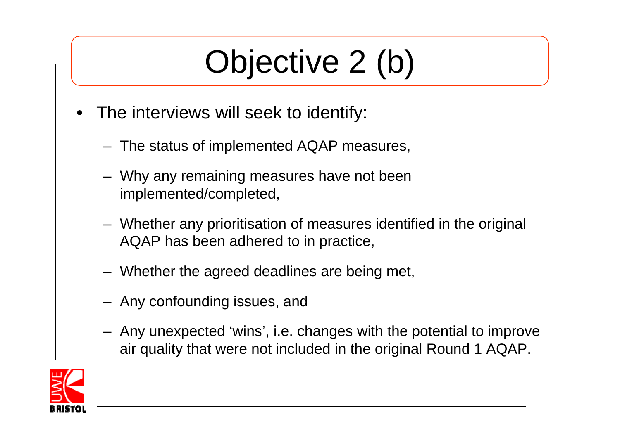#### Objective 2 (b)

- • The interviews will seek to identif y:
	- The status of implemented AQAP measures,
	- Why any remaining measures have not been implemented/completed,
	- Whether any prioritisation of measures identified in the original AQAP has been adhered to in practice,
	- Whether the agreed deadlines are being met,
	- Any confounding issues, and
	- Any unexpected 'wins', i.e. changes with the potential to improve air quality that were not included in the original Round 1 AQAP.

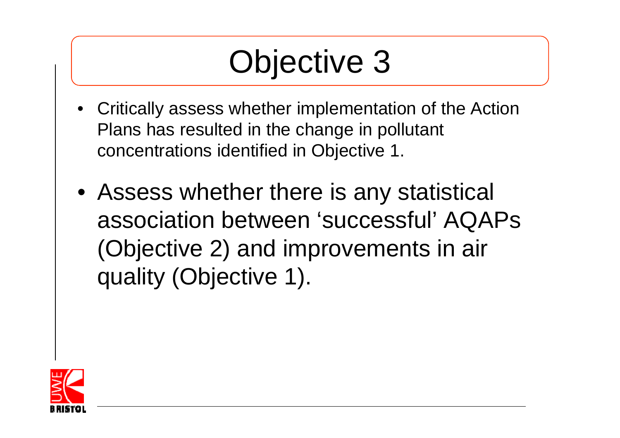#### Objective 3

- Critically assess whether implementation of the Action Plans has resulted in the change in pollutant concentrations identified in Objective 1.
- Assess whether there is any statistical association between 'successful' AQAPs (Objective 2) and improvements in air quality (Objective 1).

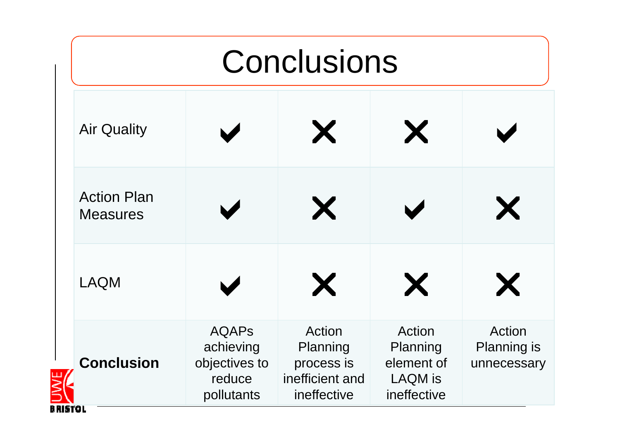|                                       | Conclusions                                                        |                                                                    |                                                                   |                                             |  |  |  |  |  |
|---------------------------------------|--------------------------------------------------------------------|--------------------------------------------------------------------|-------------------------------------------------------------------|---------------------------------------------|--|--|--|--|--|
| <b>Air Quality</b>                    |                                                                    | X                                                                  | X                                                                 |                                             |  |  |  |  |  |
| <b>Action Plan</b><br><b>Measures</b> |                                                                    | X                                                                  |                                                                   | X                                           |  |  |  |  |  |
| <b>LAQM</b>                           |                                                                    | X                                                                  | X                                                                 | X                                           |  |  |  |  |  |
| <b>Conclusion</b>                     | <b>AQAPS</b><br>achieving<br>objectives to<br>reduce<br>pollutants | Action<br>Planning<br>process is<br>inefficient and<br>ineffective | Action<br>Planning<br>element of<br><b>LAQM</b> is<br>ineffective | Action<br><b>Planning is</b><br>unnecessary |  |  |  |  |  |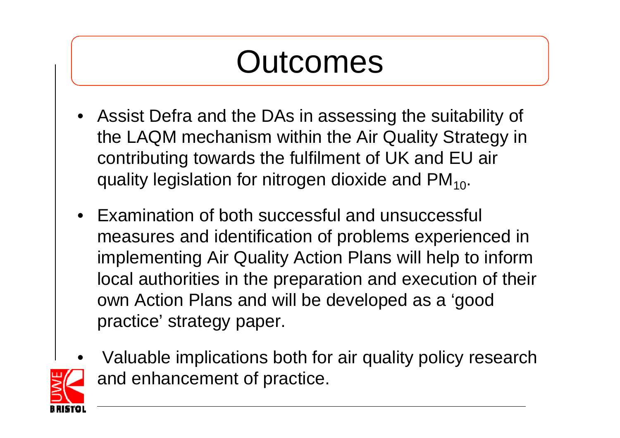#### Outcomes

- Assist Defra and the DAs in assessing the suitability of the LAQM mechanism within the Air Quality Strategy in contributing towards the fulfilment of UK and EU air quality legislation for nitrogen dioxide and  $PM_{10}$ .
- •Examination of both successful and unsuccessful measures and identification of problems experienced in implementing Air Quality Action Plans will help to inform local authorities in the preparation and execution of their own Action Plans and will be developed as a 'good practice' strategy paper.
- • Valuable implications both for air quality policy research and enhancement of practice.